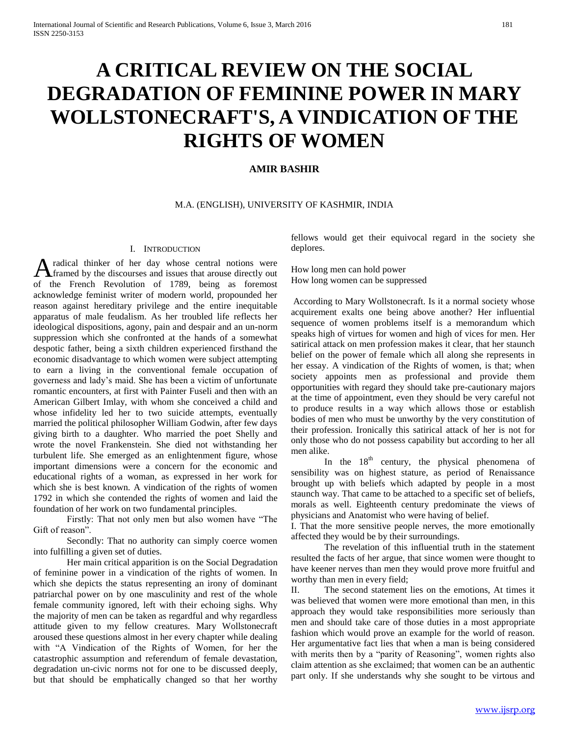## **A CRITICAL REVIEW ON THE SOCIAL DEGRADATION OF FEMININE POWER IN MARY WOLLSTONECRAFT'S, A VINDICATION OF THE RIGHTS OF WOMEN**

## **AMIR BASHIR**

M.A. (ENGLISH), UNIVERSITY OF KASHMIR, INDIA

## I. INTRODUCTION

radical thinker of her day whose central notions were A radical thinker of her day whose central notions were<br>
framed by the discourses and issues that arouse directly out of the French Revolution of 1789, being as foremost acknowledge feminist writer of modern world, propounded her reason against hereditary privilege and the entire inequitable apparatus of male feudalism. As her troubled life reflects her ideological dispositions, agony, pain and despair and an un-norm suppression which she confronted at the hands of a somewhat despotic father, being a sixth children experienced firsthand the economic disadvantage to which women were subject attempting to earn a living in the conventional female occupation of governess and lady's maid. She has been a victim of unfortunate romantic encounters, at first with Painter Fuseli and then with an American Gilbert Imlay, with whom she conceived a child and whose infidelity led her to two suicide attempts, eventually married the political philosopher William Godwin, after few days giving birth to a daughter. Who married the poet Shelly and wrote the novel Frankenstein. She died not withstanding her turbulent life. She emerged as an enlightenment figure, whose important dimensions were a concern for the economic and educational rights of a woman, as expressed in her work for which she is best known. A vindication of the rights of women 1792 in which she contended the rights of women and laid the foundation of her work on two fundamental principles.

Firstly: That not only men but also women have "The Gift of reason".

Secondly: That no authority can simply coerce women into fulfilling a given set of duties.

Her main critical apparition is on the Social Degradation of feminine power in a vindication of the rights of women. In which she depicts the status representing an irony of dominant patriarchal power on by one masculinity and rest of the whole female community ignored, left with their echoing sighs. Why the majority of men can be taken as regardful and why regardless attitude given to my fellow creatures. Mary Wollstonecraft aroused these questions almost in her every chapter while dealing with "A Vindication of the Rights of Women, for her the catastrophic assumption and referendum of female devastation, degradation un-civic norms not for one to be discussed deeply, but that should be emphatically changed so that her worthy

fellows would get their equivocal regard in the society she deplores.

How long men can hold power How long women can be suppressed

According to Mary Wollstonecraft. Is it a normal society whose acquirement exalts one being above another? Her influential sequence of women problems itself is a memorandum which speaks high of virtues for women and high of vices for men. Her satirical attack on men profession makes it clear, that her staunch belief on the power of female which all along she represents in her essay. A vindication of the Rights of women, is that; when society appoints men as professional and provide them opportunities with regard they should take pre-cautionary majors at the time of appointment, even they should be very careful not to produce results in a way which allows those or establish bodies of men who must be unworthy by the very constitution of their profession. Ironically this satirical attack of her is not for only those who do not possess capability but according to her all men alike.

In the  $18<sup>th</sup>$  century, the physical phenomena of sensibility was on highest stature, as period of Renaissance brought up with beliefs which adapted by people in a most staunch way. That came to be attached to a specific set of beliefs, morals as well. Eighteenth century predominate the views of physicians and Anatomist who were having of belief.

I. That the more sensitive people nerves, the more emotionally affected they would be by their surroundings.

The revelation of this influential truth in the statement resulted the facts of her argue, that since women were thought to have keener nerves than men they would prove more fruitful and worthy than men in every field;

II. The second statement lies on the emotions, At times it was believed that women were more emotional than men, in this approach they would take responsibilities more seriously than men and should take care of those duties in a most appropriate fashion which would prove an example for the world of reason. Her argumentative fact lies that when a man is being considered with merits then by a "parity of Reasoning", women rights also claim attention as she exclaimed; that women can be an authentic part only. If she understands why she sought to be virtous and